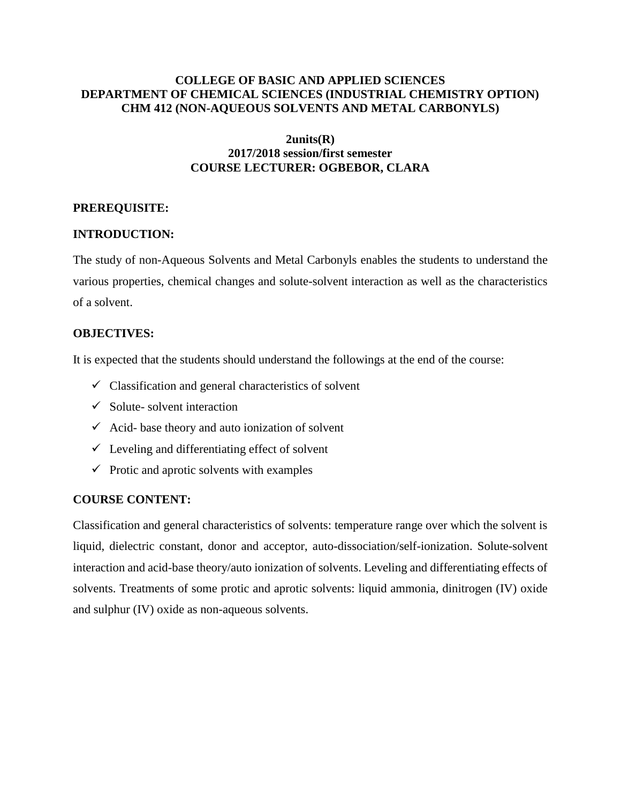## **COLLEGE OF BASIC AND APPLIED SCIENCES DEPARTMENT OF CHEMICAL SCIENCES (INDUSTRIAL CHEMISTRY OPTION) CHM 412 (NON-AQUEOUS SOLVENTS AND METAL CARBONYLS)**

#### **2units(R) 2017/2018 session/first semester COURSE LECTURER: OGBEBOR, CLARA**

## **PREREQUISITE:**

# **INTRODUCTION:**

The study of non-Aqueous Solvents and Metal Carbonyls enables the students to understand the various properties, chemical changes and solute-solvent interaction as well as the characteristics of a solvent.

## **OBJECTIVES:**

It is expected that the students should understand the followings at the end of the course:

- $\checkmark$  Classification and general characteristics of solvent
- $\checkmark$  Solute-solvent interaction
- $\checkmark$  Acid- base theory and auto ionization of solvent
- $\checkmark$  Leveling and differentiating effect of solvent
- $\checkmark$  Protic and aprotic solvents with examples

## **COURSE CONTENT:**

Classification and general characteristics of solvents: temperature range over which the solvent is liquid, dielectric constant, donor and acceptor, auto-dissociation/self-ionization. Solute-solvent interaction and acid-base theory/auto ionization of solvents. Leveling and differentiating effects of solvents. Treatments of some protic and aprotic solvents: liquid ammonia, dinitrogen (IV) oxide and sulphur (IV) oxide as non-aqueous solvents.